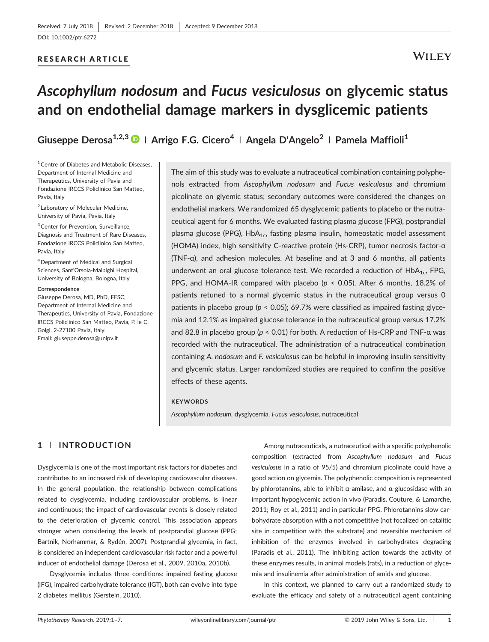### RESEARCH ARTICLE

## **WILEY**

# *Ascophyllum nodosum* **and** *Fucus vesiculosus* **on glycemic status and on endothelial damage markers in dysglicemic patients**

**Giuseppe Derosa1,2,3 <sup>|</sup> Arrigo F.G. Cicero4 <sup>|</sup> Angela D'Angelo<sup>2</sup> <sup>|</sup> Pamela Maffioli1**

<sup>1</sup> Centre of Diabetes and Metabolic Diseases, Department of Internal Medicine and Therapeutics, University of Pavia and Fondazione IRCCS Policlinico San Matteo, Pavia, Italy

<sup>2</sup> Laboratory of Molecular Medicine, University of Pavia, Pavia, Italy

3Center for Prevention, Surveillance, Diagnosis and Treatment of Rare Diseases, Fondazione IRCCS Policlinico San Matteo, Pavia, Italy

4Department of Medical and Surgical Sciences, Sant'Orsola‐Malpighi Hospital, University of Bologna, Bologna, Italy

#### **Correspondence**

Giuseppe Derosa, MD, PhD, FESC, Department of Internal Medicine and Therapeutics, University of Pavia, Fondazione IRCCS Policlinico San Matteo, Pavia, P. le C. Golgi, 2‐27100 Pavia, Italy. Email: [giuseppe.derosa@unipv.it](mailto:giuseppe.derosa@unipv.it)

The aim of this study was to evaluate a nutraceutical combination containing polyphenols extracted from *Ascophyllum nodosum* and *Fucus vesiculosus* and chromium picolinate on glyemic status; secondary outcomes were considered the changes on endothelial markers. We randomized 65 dysglycemic patients to placebo or the nutraceutical agent for 6 months. We evaluated fasting plasma glucose (FPG), postprandial plasma glucose (PPG),  $HbA_{1c}$ , fasting plasma insulin, homeostatic model assessment (HOMA) index, high sensitivity C‐reactive protein (Hs‐CRP), tumor necrosis factor‐α (TNF‐α), and adhesion molecules. At baseline and at 3 and 6 months, all patients underwent an oral glucose tolerance test. We recorded a reduction of  $HbA_{1c}$ , FPG, PPG, and HOMA-IR compared with placebo ( $p < 0.05$ ). After 6 months, 18.2% of patients retuned to a normal glycemic status in the nutraceutical group versus 0 patients in placebo group (*p* < 0.05); 69.7% were classified as impaired fasting glycemia and 12.1% as impaired glucose tolerance in the nutraceutical group versus 17.2% and 82.8 in placebo group (*p* < 0.01) for both. A reduction of Hs‐CRP and TNF‐α was recorded with the nutraceutical. The administration of a nutraceutical combination containing *A. nodosum* and *F. vesiculosus* can be helpful in improving insulin sensitivity and glycemic status. Larger randomized studies are required to confirm the positive effects of these agents.

#### **KEYWORDS**

*Ascophyllum nodosum*, dysglycemia, *Fucus vesiculosus*, nutraceutical

## **1** | **INTRODUCTION**

Dysglycemia is one of the most important risk factors for diabetes and contributes to an increased risk of developing cardiovascular diseases. In the general population, the relationship between complications related to dysglycemia, including cardiovascular problems, is linear and continuous; the impact of cardiovascular events is closely related to the deterioration of glycemic control. This association appears stronger when considering the levels of postprandial glucose (PPG; Bartnik, Norhammar, & Rydén, 2007). Postprandial glycemia, in fact, is considered an independent cardiovascular risk factor and a powerful inducer of endothelial damage (Derosa et al., 2009, 2010a, 2010b).

Dysglycemia includes three conditions: impaired fasting glucose (IFG), impaired carbohydrate tolerance (IGT), both can evolve into type 2 diabetes mellitus (Gerstein, 2010).

Among nutraceuticals, a nutraceutical with a specific polyphenolic composition (extracted from *Ascophyllum nodosum* and *Fucus vesiculosus* in a ratio of 95/5) and chromium picolinate could have a good action on glycemia. The polyphenolic composition is represented by phlorotannins, able to inhibit α‐amilase, and α‐glucosidase with an important hypoglycemic action in vivo (Paradis, Couture, & Lamarche, 2011; Roy et al., 2011) and in particular PPG. Phlorotannins slow carbohydrate absorption with a not competitive (not focalized on catalitic site in competition with the substrate) and reversible mechanism of inhibition of the enzymes involved in carbohydrates degrading (Paradis et al., 2011). The inhibiting action towards the activity of these enzymes results, in animal models (rats), in a reduction of glycemia and insulinemia after administration of amids and glucose.

In this context, we planned to carry out a randomized study to evaluate the efficacy and safety of a nutraceutical agent containing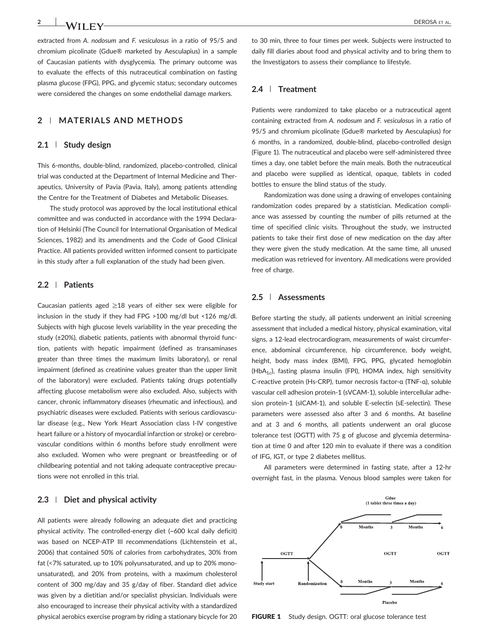## **2** | **MATERIALS AND METHODS**

#### **2.1** | **Study design**

This 6‐months, double‐blind, randomized, placebo‐controlled, clinical trial was conducted at the Department of Internal Medicine and Therapeutics, University of Pavia (Pavia, Italy), among patients attending the Centre for the Treatment of Diabetes and Metabolic Diseases.

The study protocol was approved by the local institutional ethical committee and was conducted in accordance with the 1994 Declaration of Helsinki (The Council for International Organisation of Medical Sciences, 1982) and its amendments and the Code of Good Clinical Practice. All patients provided written informed consent to participate in this study after a full explanation of the study had been given.

#### **2.2** | **Patients**

Caucasian patients aged  $\geq$ 18 years of either sex were eligible for inclusion in the study if they had FPG >100 mg/dl but <126 mg/dl. Subjects with high glucose levels variability in the year preceding the study (±20%), diabetic patients, patients with abnormal thyroid function, patients with hepatic impairment (defined as transaminases greater than three times the maximum limits laboratory), or renal impairment (defined as creatinine values greater than the upper limit of the laboratory) were excluded. Patients taking drugs potentially affecting glucose metabolism were also excluded. Also, subjects with cancer, chronic inflammatory diseases (rheumatic and infectious), and psychiatric diseases were excluded. Patients with serious cardiovascular disease (e.g., New York Heart Association class I‐IV congestive heart failure or a history of myocardial infarction or stroke) or cerebrovascular conditions within 6 months before study enrollment were also excluded. Women who were pregnant or breastfeeding or of childbearing potential and not taking adequate contraceptive precautions were not enrolled in this trial.

## **2.3** | **Diet and physical activity**

All patients were already following an adequate diet and practicing physical activity. The controlled‐energy diet (~600 kcal daily deficit) was based on NCEP-ATP III recommendations (Lichtenstein et al., 2006) that contained 50% of calories from carbohydrates, 30% from fat (<7% saturated, up to 10% polyunsaturated, and up to 20% monounsaturated), and 20% from proteins, with a maximum cholesterol content of 300 mg/day and 35 g/day of fiber. Standard diet advice was given by a dietitian and/or specialist physician. Individuals were also encouraged to increase their physical activity with a standardized physical aerobics exercise program by riding a stationary bicycle for 20 to 30 min, three to four times per week. Subjects were instructed to daily fill diaries about food and physical activity and to bring them to the Investigators to assess their compliance to lifestyle.

#### **2.4** | **Treatment**

Patients were randomized to take placebo or a nutraceutical agent containing extracted from *A. nodosum* and *F. vesiculosus* in a ratio of 95/5 and chromium picolinate (Gdue® marketed by Aesculapius) for 6 months, in a randomized, double‐blind, placebo‐controlled design (Figure 1). The nutraceutical and placebo were self‐administered three times a day, one tablet before the main meals. Both the nutraceutical and placebo were supplied as identical, opaque, tablets in coded bottles to ensure the blind status of the study.

Randomization was done using a drawing of envelopes containing randomization codes prepared by a statistician. Medication compliance was assessed by counting the number of pills returned at the time of specified clinic visits. Throughout the study, we instructed patients to take their first dose of new medication on the day after they were given the study medication. At the same time, all unused medication was retrieved for inventory. All medications were provided free of charge.

## **2.5** | **Assessments**

Before starting the study, all patients underwent an initial screening assessment that included a medical history, physical examination, vital signs, a 12‐lead electrocardiogram, measurements of waist circumference, abdominal circumference, hip circumference, body weight, height, body mass index (BMI), FPG, PPG, glycated hemoglobin (HbA<sub>1c</sub>), fasting plasma insulin (FPI), HOMA index, high sensitivity C‐reactive protein (Hs‐CRP), tumor necrosis factor‐α (TNF‐α), soluble vascular cell adhesion protein‐1 (sVCAM‐1), soluble intercellular adhesion protein-1 (sICAM-1), and soluble E-selectin (sE-selectin). These parameters were assessed also after 3 and 6 months. At baseline and at 3 and 6 months, all patients underwent an oral glucose tolerance test (OGTT) with 75 g of glucose and glycemia determination at time 0 and after 120 min to evaluate if there was a condition of IFG, IGT, or type 2 diabetes mellitus.

All parameters were determined in fasting state, after a 12‐hr overnight fast, in the plasma. Venous blood samples were taken for



FIGURE 1 Study design. OGTT: oral glucose tolerance test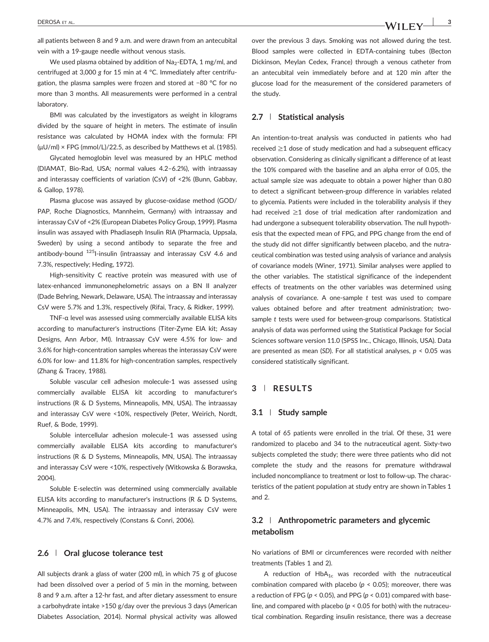all patients between 8 and 9 a.m. and were drawn from an antecubital vein with a 19‐gauge needle without venous stasis.

We used plasma obtained by addition of  $Na<sub>2</sub>$ -EDTA, 1 mg/ml, and centrifuged at 3,000 *g* for 15 min at 4 °C. Immediately after centrifugation, the plasma samples were frozen and stored at −80 °C for no more than 3 months. All measurements were performed in a central laboratory.

BMI was calculated by the investigators as weight in kilograms divided by the square of height in meters. The estimate of insulin resistance was calculated by HOMA index with the formula: FPI (μU/ml) × FPG (mmol/L)/22.5, as described by Matthews et al. (1985).

Glycated hemoglobin level was measured by an HPLC method (DIAMAT, Bio‐Rad, USA; normal values 4.2–6.2%), with intraassay and interassay coefficients of variation (CsV) of <2% (Bunn, Gabbay, & Gallop, 1978).

Plasma glucose was assayed by glucose‐oxidase method (GOD/ PAP, Roche Diagnostics, Mannheim, Germany) with intraassay and interassay CsV of <2% (European Diabetes Policy Group, 1999). Plasma insulin was assayed with Phadiaseph Insulin RIA (Pharmacia, Uppsala, Sweden) by using a second antibody to separate the free and antibody-bound <sup>125</sup>I-insulin (intraassay and interassay CsV 4.6 and 7.3%, respectively; Heding, 1972).

High-sensitivity C reactive protein was measured with use of latex-enhanced immunonephelometric assays on a BN II analyzer (Dade Behring, Newark, Delaware, USA). The intraassay and interassay CsV were 5.7% and 1.3%, respectively (Rifai, Tracy, & Ridker, 1999).

TNF‐α level was assessed using commercially available ELISA kits according to manufacturer's instructions (Titer‐Zyme EIA kit; Assay Designs, Ann Arbor, MI). Intraassay CsV were 4.5% for low‐ and 3.6% for high-concentration samples whereas the interassay CsV were 6.0% for low‐ and 11.8% for high‐concentration samples, respectively (Zhang & Tracey, 1988).

Soluble vascular cell adhesion molecule‐1 was assessed using commercially available ELISA kit according to manufacturer's instructions (R & D Systems, Minneapolis, MN, USA). The intraassay and interassay CsV were <10%, respectively (Peter, Weirich, Nordt, Ruef, & Bode, 1999).

Soluble intercellular adhesion molecule‐1 was assessed using commercially available ELISA kits according to manufacturer's instructions (R & D Systems, Minneapolis, MN, USA). The intraassay and interassay CsV were <10%, respectively (Witkowska & Borawska, 2004).

Soluble E-selectin was determined using commercially available ELISA kits according to manufacturer's instructions (R & D Systems, Minneapolis, MN, USA). The intraassay and interassay CsV were 4.7% and 7.4%, respectively (Constans & Conri, 2006).

## **2.6** | **Oral glucose tolerance test**

All subjects drank a glass of water (200 ml), in which 75 g of glucose had been dissolved over a period of 5 min in the morning, between 8 and 9 a.m. after a 12‐hr fast, and after dietary assessment to ensure a carbohydrate intake >150 g/day over the previous 3 days (American Diabetes Association, 2014). Normal physical activity was allowed over the previous 3 days. Smoking was not allowed during the test. Blood samples were collected in EDTA‐containing tubes (Becton Dickinson, Meylan Cedex, France) through a venous catheter from an antecubital vein immediately before and at 120 min after the glucose load for the measurement of the considered parameters of the study.

## **2.7** | **Statistical analysis**

An intention-to-treat analysis was conducted in patients who had received ≥1 dose of study medication and had a subsequent efficacy observation. Considering as clinically significant a difference of at least the 10% compared with the baseline and an alpha error of 0.05, the actual sample size was adequate to obtain a power higher than 0.80 to detect a significant between‐group difference in variables related to glycemia. Patients were included in the tolerability analysis if they had received ≥1 dose of trial medication after randomization and had undergone a subsequent tolerability observation. The null hypothesis that the expected mean of FPG, and PPG change from the end of the study did not differ significantly between placebo, and the nutraceutical combination was tested using analysis of variance and analysis of covariance models (Winer, 1971). Similar analyses were applied to the other variables. The statistical significance of the independent effects of treatments on the other variables was determined using analysis of covariance. A one‐sample *t* test was used to compare values obtained before and after treatment administration: twosample *t* tests were used for between‐group comparisons. Statistical analysis of data was performed using the Statistical Package for Social Sciences software version 11.0 (SPSS Inc., Chicago, Illinois, USA). Data are presented as mean (*SD*). For all statistical analyses, *p* < 0.05 was considered statistically significant.

## **3** | **RESULTS**

## **3.1** | **Study sample**

A total of 65 patients were enrolled in the trial. Of these, 31 were randomized to placebo and 34 to the nutraceutical agent. Sixty‐two subjects completed the study; there were three patients who did not complete the study and the reasons for premature withdrawal included noncompliance to treatment or lost to follow‐up. The characteristics of the patient population at study entry are shown in Tables 1 and 2.

## **3.2** | **Anthropometric parameters and glycemic metabolism**

No variations of BMI or circumferences were recorded with neither treatments (Tables 1 and 2).

A reduction of  $HbA_{1c}$  was recorded with the nutraceutical combination compared with placebo (*p* < 0.05); moreover, there was a reduction of FPG (*p* < 0.05), and PPG (*p* < 0.01) compared with baseline, and compared with placebo (*p* < 0.05 for both) with the nutraceutical combination. Regarding insulin resistance, there was a decrease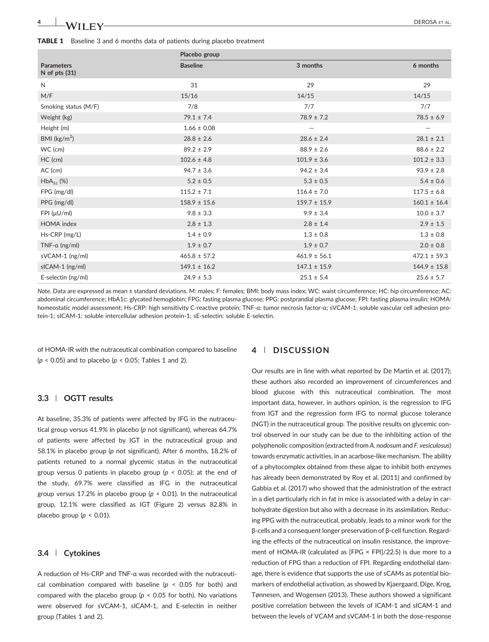|                                        | Placebo group    |                   |                  |  |
|----------------------------------------|------------------|-------------------|------------------|--|
| <b>Parameters</b><br>$N$ of pts $(31)$ | <b>Baseline</b>  | 3 months          | 6 months         |  |
| N                                      | 31               | 29                | 29               |  |
| M/F                                    | 15/16            | 14/15             | 14/15            |  |
| Smoking status (M/F)                   | 7/8              | 7/7               | 7/7              |  |
| Weight (kg)                            | $79.1 \pm 7.4$   | $78.9 \pm 7.2$    | $78.5 \pm 6.9$   |  |
| Height (m)                             | $1.66 \pm 0.08$  | $\qquad \qquad -$ |                  |  |
| BMI ( $\text{kg/m}^2$ )                | $28.8 \pm 2.6$   | $28.6 \pm 2.4$    | $28.1 \pm 2.1$   |  |
| WC (cm)                                | $89.2 \pm 2.9$   | $88.9 \pm 2.6$    | $88.6 \pm 2.2$   |  |
| HC (cm)                                | $102.6 \pm 4.8$  | $101.9 \pm 3.6$   | $101.2 \pm 3.3$  |  |
| AC (cm)                                | $94.7 \pm 3.6$   | $94.2 \pm 3.4$    | $93.9 \pm 2.8$   |  |
| $HbA_{1c}$ (%)                         | $5.2 \pm 0.5$    | $5.3 \pm 0.5$     | $5.4 \pm 0.6$    |  |
| FPG (mg/dl)                            | $115.2 \pm 7.1$  | $116.4 \pm 7.0$   | $117.5 \pm 6.8$  |  |
| PPG (mg/dl)                            | $158.9 \pm 15.6$ | $159.7 \pm 15.9$  | $160.1 \pm 16.4$ |  |
| $FPI$ ( $\mu$ U/ml)                    | $9.8 \pm 3.3$    | $9.9 \pm 3.4$     | $10.0 \pm 3.7$   |  |
| HOMA index                             | $2.8 \pm 1.3$    | $2.8 \pm 1.4$     | $2.9 \pm 1.5$    |  |
| Hs-CRP (mg/L)                          | $1.4 \pm 0.9$    | $1.3 \pm 0.8$     | $1.3 \pm 0.8$    |  |
| TNF- $\alpha$ (ng/ml)                  | $1.9 \pm 0.7$    | $1.9 \pm 0.7$     | $2.0 \pm 0.8$    |  |
| sVCAM-1 (ng/ml)                        | $465.8 \pm 57.2$ | $461.9 \pm 56.1$  | $472.1 \pm 59.3$ |  |
| sICAM-1 (ng/ml)                        | $149.1 \pm 16.2$ | $147.1 \pm 15.9$  | $144.9 \pm 15.8$ |  |
| E-selectin (ng/ml)                     | $24.9 \pm 5.3$   | $25.1 \pm 5.4$    | $25.6 \pm 5.7$   |  |

*Note*. Data are expressed as mean ± standard deviations. M: males; F: females; BMI: body mass index; WC: waist circumference; HC: hip circumference; AC: abdominal circumference; HbA1c: glycated hemoglobin; FPG: fasting plasma glucose; PPG: postprandial plasma glucose; FPI: fasting plasma insulin; HOMA: homeostatic model assessment; Hs-CRP: high sensitivity C-reactive protein; TNF-α: tumor necrosis factor-α; sVCAM-1: soluble vascular cell adhesion protein‐1; sICAM‐1: soluble intercellular adhesion protein‐1; sE‐selectin: soluble E‐selectin.

of HOMA‐IR with the nutraceutical combination compared to baseline (*p* < 0.05) and to placebo (*p* < 0.05; Tables 1 and 2).

## **3.3** | **OGTT results**

At baseline, 35.3% of patients were affected by IFG in the nutraceutical group versus 41.9% in placebo (*p* not significant), whereas 64.7% of patients were affected by IGT in the nutraceutical group and 58.1% in placebo group (*p* not significant). After 6 months, 18.2% of patients retuned to a normal glycemic status in the nutraceutical group versus 0 patients in placebo group (*p* < 0.05); at the end of the study, 69.7% were classified as IFG in the nutraceutical group versus 17.2% in placebo group (*p* < 0.01). In the nutraceutical group, 12.1% were classified as IGT (Figure 2) versus 82.8% in placebo group ( $p < 0.01$ ).

#### **3.4** | **Cytokines**

A reduction of Hs‐CRP and TNF‐α was recorded with the nutraceutical combination compared with baseline (*p* < 0.05 for both) and compared with the placebo group ( $p < 0.05$  for both). No variations were observed for sVCAM‐1, sICAM‐1, and E‐selectin in neither group (Tables 1 and 2).

#### **4** | **DISCUSSION**

Our results are in line with what reported by De Martin et al. (2017); these authors also recorded an improvement of circumferences and blood glucose with this nutraceutical combination. The most important data, however, in authors opinion, is the regression to IFG from IGT and the regression form IFG to normal glucose tolerance (NGT) in the nutraceutical group. The positive results on glycemic control observed in our study can be due to the inhibiting action of the polyphenolic composition (extracted from *A. nodosum* and *F. vesiculosus*) towards enzymatic activities, in an acarbose‐like mechanism. The ability of a phytocomplex obtained from these algae to inhibit both enzymes has already been demonstrated by Roy et al. (2011) and confirmed by Gabbia et al. (2017) who showed that the administration of the extract in a diet particularly rich in fat in mice is associated with a delay in carbohydrate digestion but also with a decrease in its assimilation. Reducing PPG with the nutraceutical, probably, leads to a minor work for the β‐cells and a consequent longer preservation of β‐cell function. Regarding the effects of the nutraceutical on insulin resistance, the improvement of HOMA-IR (calculated as [FPG  $\times$  FPI]/22.5) is due more to a reduction of FPG than a reduction of FPI. Regarding endothelial damage, there is evidence that supports the use of sCAMs as potential biomarkers of endothelial activation, as showed by Kjaergaard, Dige, Krog, Tønnesen, and Wogensen (2013). These authors showed a significant positive correlation between the levels of ICAM‐1 and sICAM‐1 and between the levels of VCAM and sVCAM‐1 in both the dose‐response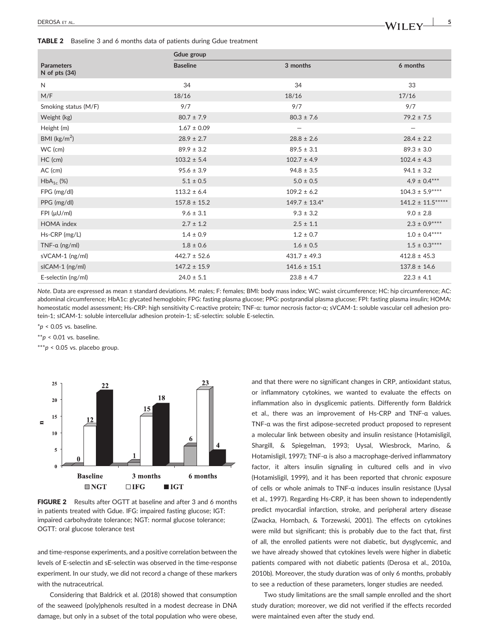TABLE 2 Baseline 3 and 6 months data of patients during Gdue treatment

|                                      | Gdue group       |                          |                     |
|--------------------------------------|------------------|--------------------------|---------------------|
| <b>Parameters</b><br>N of pts $(34)$ | <b>Baseline</b>  | 3 months                 | 6 months            |
| $\mathsf{N}$                         | 34               | 34                       | 33                  |
| M/F                                  | 18/16            | 18/16                    | 17/16               |
| Smoking status (M/F)                 | 9/7              | 9/7                      | 9/7                 |
| Weight (kg)                          | $80.7 \pm 7.9$   | $80.3 \pm 7.6$           | $79.2 \pm 7.5$      |
| Height (m)                           | $1.67 \pm 0.09$  | $\overline{\phantom{0}}$ |                     |
| BMI ( $\text{kg/m}^2$ )              | $28.9 \pm 2.7$   | $28.8 \pm 2.6$           | $28.4 \pm 2.2$      |
| WC (cm)                              | $89.9 \pm 3.2$   | $89.5 \pm 3.1$           | $89.3 \pm 3.0$      |
| HC (cm)                              | $103.2 \pm 5.4$  | $102.7 \pm 4.9$          | $102.4 \pm 4.3$     |
| AC (cm)                              | $95.6 \pm 3.9$   | $94.8 \pm 3.5$           | $94.1 \pm 3.2$      |
| $HbA_{1c}$ (%)                       | $5.1 \pm 0.5$    | $5.0 \pm 0.5$            | $4.9 \pm 0.4***$    |
| FPG (mg/dl)                          | $113.2 \pm 6.4$  | $109.2 \pm 6.2$          | $104.3 \pm 5.9***$  |
| PPG (mg/dl)                          | $157.8 \pm 15.2$ | $149.7 \pm 13.4^*$       | $141.2 \pm 11.5***$ |
| FPI (µU/ml)                          | $9.6 \pm 3.1$    | $9.3 \pm 3.2$            | $9.0 \pm 2.8$       |
| <b>HOMA</b> index                    | $2.7 \pm 1.2$    | $2.5 \pm 1.1$            | $2.3 \pm 0.9***$    |
| Hs-CRP (mg/L)                        | $1.4 \pm 0.9$    | $1.2 \pm 0.7$            | $1.0 \pm 0.4***$    |
| TNF- $\alpha$ (ng/ml)                | $1.8 \pm 0.6$    | $1.6 \pm 0.5$            | $1.5 \pm 0.3***$    |
| sVCAM-1 (ng/ml)                      | $442.7 \pm 52.6$ | $431.7 \pm 49.3$         | $412.8 \pm 45.3$    |
| sICAM-1 (ng/ml)                      | $147.2 \pm 15.9$ | $141.6 \pm 15.1$         | $137.8 \pm 14.6$    |
| E-selectin (ng/ml)                   | $24.0 \pm 5.1$   | $23.8 \pm 4.7$           | $22.3 \pm 4.1$      |

*Note*. Data are expressed as mean ± standard deviations. M: males; F: females; BMI: body mass index; WC: waist circumference; HC: hip circumference; AC: abdominal circumference; HbA1c: glycated hemoglobin; FPG: fasting plasma glucose; PPG: postprandial plasma glucose; FPI: fasting plasma insulin; HOMA: homeostatic model assessment; Hs-CRP: high sensitivity C-reactive protein; TNF-α: tumor necrosis factor-α; sVCAM-1: soluble vascular cell adhesion protein‐1; sICAM‐1: soluble intercellular adhesion protein‐1; sE‐selectin: soluble E‐selectin.

\**p* < 0.05 vs. baseline.

\*\**p* < 0.01 vs. baseline.

\*\*\**p* < 0.05 vs. placebo group.



FIGURE 2 Results after OGTT at baseline and after 3 and 6 months in patients treated with Gdue. IFG: impaired fasting glucose; IGT: impaired carbohydrate tolerance; NGT: normal glucose tolerance; OGTT: oral glucose tolerance test

and time‐response experiments, and a positive correlation between the levels of E‐selectin and sE‐selectin was observed in the time‐response experiment. In our study, we did not record a change of these markers with the nutraceutrical.

Considering that Baldrick et al. (2018) showed that consumption of the seaweed (poly)phenols resulted in a modest decrease in DNA damage, but only in a subset of the total population who were obese,

and that there were no significant changes in CRP, antioxidant status, or inflammatory cytokines, we wanted to evaluate the effects on inflammation also in dysglicemic patients. Differently form Baldrick et al., there was an improvement of Hs‐CRP and TNF‐α values. TNF‐α was the first adipose‐secreted product proposed to represent a molecular link between obesity and insulin resistance (Hotamisligil, Shargill, & Spiegelman, 1993; Uysal, Wiesbrock, Marino, & Hotamisligil, 1997); TNF‐α is also a macrophage‐derived inflammatory factor, it alters insulin signaling in cultured cells and in vivo (Hotamisligil, 1999), and it has been reported that chronic exposure of cells or whole animals to TNF‐α induces insulin resistance (Uysal et al., 1997). Regarding Hs‐CRP, it has been shown to independently predict myocardial infarction, stroke, and peripheral artery disease (Zwacka, Hornbach, & Torzewski, 2001). The effects on cytokines were mild but significant; this is probably due to the fact that, first of all, the enrolled patients were not diabetic, but dysglycemic, and we have already showed that cytokines levels were higher in diabetic patients compared with not diabetic patients (Derosa et al., 2010a, 2010b). Moreover, the study duration was of only 6 months, probably to see a reduction of these parameters, longer studies are needed.

Two study limitations are the small sample enrolled and the short study duration; moreover, we did not verified if the effects recorded were maintained even after the study end.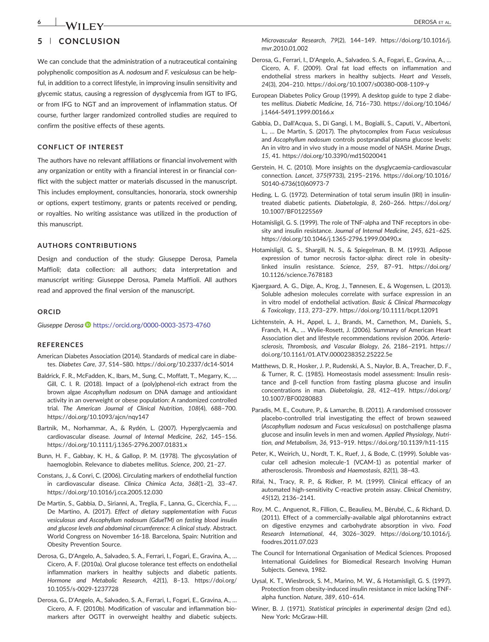# **5** | **CONCLUSION**

We can conclude that the administration of a nutraceutical containing polyphenolic composition as *A. nodosum* and *F. vesiculosus* can be helpful, in addition to a correct lifestyle, in improving insulin sensitivity and glycemic status, causing a regression of dysglycemia from IGT to IFG, or from IFG to NGT and an improvement of inflammation status. Of course, further larger randomized controlled studies are required to confirm the positive effects of these agents.

#### **CONFLICT OF INTEREST**

The authors have no relevant affiliations or financial involvement with any organization or entity with a financial interest in or financial conflict with the subject matter or materials discussed in the manuscript. This includes employment, consultancies, honoraria, stock ownership or options, expert testimony, grants or patents received or pending, or royalties. No writing assistance was utilized in the production of this manuscript.

#### **AUTHORS CONTRIBUTIONS**

Design and conduction of the study: Giuseppe Derosa, Pamela Maffioli; data collection: all authors; data interpretation and manuscript writing: Giuseppe Derosa, Pamela Maffioli. All authors read and approved the final version of the manuscript.

#### **ORCID**

*Giuseppe Derosa* <https://orcid.org/0000-0003-3573-4760>

#### **REFERENCES**

- American Diabetes Association (2014). Standards of medical care in diabetes. *Diabetes Care*, *37*, S14–S80. [https://doi.org/10.2337/dc14](https://doi.org/10.2337/dc14-S014)‐S014
- Baldrick, F. R., McFadden, K., Ibars, M., Sung, C., Moffatt, T., Megarry, K., … Gill, C. I. R. (2018). Impact of a (poly)phenol‐rich extract from the brown algae *Ascophyllum nodosum* on DNA damage and antioxidant activity in an overweight or obese population: A randomized controlled trial. *The American Journal of Clinical Nutrition*, *108*(4), 688–700. <https://doi.org/10.1093/ajcn/nqy147>
- Bartnik, M., Norhammar, A., & Rydén, L. (2007). Hyperglycaemia and cardiovascular disease. *Journal of Internal Medicine*, *262*, 145–156. [https://doi.org/10.1111/j.1365](https://doi.org/10.1111/j.1365-2796.2007.01831.x)‐2796.2007.01831.x
- Bunn, H. F., Gabbay, K. H., & Gallop, P. M. (1978). The glycosylation of haemoglobin. Relevance to diabetes mellitus. *Science*, *200*, 21–27.
- Constans, J., & Conri, C. (2006). Circulating markers of endothelial function in cardiovascular disease. *Clinica Chimica Acta*, *368*(1–2), 33–47. <https://doi.org/10.1016/j.cca.2005.12.030>
- De Martin, S., Gabbia, D., Sirianni, A., Treglia, F., Lanna, G., Cicerchia, F., … De Martino, A. (2017). *Effect of dietary supplementation with Fucus vesiculosus and Ascophyllum nodosum (GdueTM) on fasting blood insulin and glucose levels and abdominal circumference: A clinical study*. Abstract. World Congress on November 16‐18. Barcelona, Spain: Nutrition and Obesity Prevention Source.
- Derosa, G., D'Angelo, A., Salvadeo, S. A., Ferrari, I., Fogari, E., Gravina, A., … Cicero, A. F. (2010a). Oral glucose tolerance test effects on endothelial inflammation markers in healthy subjects and diabetic patients. *Hormone and Metabolic Research*, *42*(1), 8–13. [https://doi.org/](https://doi.org/10.1055/s-0029-1237728) [10.1055/s](https://doi.org/10.1055/s-0029-1237728)‐0029‐1237728
- Derosa, G., D'Angelo, A., Salvadeo, S. A., Ferrari, I., Fogari, E., Gravina, A., … Cicero, A. F. (2010b). Modification of vascular and inflammation biomarkers after OGTT in overweight healthy and diabetic subjects.

*Microvascular Research*, *79*(2), 144–149. [https://doi.org/10.1016/j.](https://doi.org/10.1016/j.mvr.2010.01.002) [mvr.2010.01.002](https://doi.org/10.1016/j.mvr.2010.01.002)

- Derosa, G., Ferrari, I., D'Angelo, A., Salvadeo, S. A., Fogari, E., Gravina, A., … Cicero, A. F. (2009). Oral fat load effects on inflammation and endothelial stress markers in healthy subjects. *Heart and Vessels*, *24*(3), 204–210. [https://doi.org/10.1007/s00380](https://doi.org/10.1007/s00380-008-1109-y)‐008‐1109‐y
- European Diabetes Policy Group (1999). A desktop guide to type 2 diabetes mellitus. *Diabetic Medicine*, *16*, 716–730. [https://doi.org/10.1046/](https://doi.org/10.1046/j.1464-5491.1999.00166.x) j.1464‐[5491.1999.00166.x](https://doi.org/10.1046/j.1464-5491.1999.00166.x)
- Gabbia, D., Dall'Acqua, S., Di Gangi, I. M., Bogialli, S., Caputi, V., Albertoni, L., … De Martin, S. (2017). The phytocomplex from *Fucus vesiculosus* and *Ascophyllum nodosum* controls postprandial plasma glucose levels: An in vitro and in vivo study in a mouse model of NASH. *Marine Drugs*, *15*, 41.<https://doi.org/10.3390/md15020041>
- Gerstein, H. C. (2010). More insights on the dysglycaemia‐cardiovascular connection. *Lancet*, *375*(9733), 2195–2196. [https://doi.org/10.1016/](https://doi.org/10.1016/S0140-6736(10)60973-7) S0140‐[6736\(10\)60973](https://doi.org/10.1016/S0140-6736(10)60973-7)‐7
- Heding, L. G. (1972). Determination of total serum insulin (IRI) in insulin‐ treated diabetic patients. *Diabetologia*, *8*, 260–266. [https://doi.org/](https://doi.org/10.1007/BF01225569) [10.1007/BF01225569](https://doi.org/10.1007/BF01225569)
- Hotamisligil, G. S. (1999). The role of TNF‐alpha and TNF receptors in obesity and insulin resistance. *Journal of Internal Medicine*, *245*, 621–625. [https://doi.org/10.1046/j.1365](https://doi.org/10.1046/j.1365-2796.1999.00490.x)‐2796.1999.00490.x
- Hotamisligil, G. S., Shargill, N. S., & Spiegelman, B. M. (1993). Adipose expression of tumor necrosis factor-alpha: direct role in obesitylinked insulin resistance. *Science*, *259*, 87–91. [https://doi.org/](https://doi.org/10.1126/science.7678183) [10.1126/science.7678183](https://doi.org/10.1126/science.7678183)
- Kjaergaard, A. G., Dige, A., Krog, J., Tønnesen, E., & Wogensen, L. (2013). Soluble adhesion molecules correlate with surface expression in an in vitro model of endothelial activation. *Basic & Clinical Pharmacology & Toxicology*, *113*, 273–279.<https://doi.org/10.1111/bcpt.12091>
- Lichtenstein, A. H., Appel, L. J., Brands, M., Carnethon, M., Daniels, S., Franch, H. A., … Wylie‐Rosett, J. (2006). Summary of American Heart Association diet and lifestyle recommendations revision 2006. *Arteriosclerosis, Thrombosis, and Vascular Biology*, *26*, 2186–2191. [https://](https://doi.org/10.1161/01.ATV.0000238352.25222.5e) [doi.org/10.1161/01.ATV.0000238352.25222.5e](https://doi.org/10.1161/01.ATV.0000238352.25222.5e)
- Matthews, D. R., Hosker, J. P., Rudenski, A. S., Naylor, B. A., Treacher, D. F., & Turner, R. C. (1985). Homeostasis model assessment: Insulin resistance and β‐cell function from fasting plasma glucose and insulin concentrations in man. *Diabetologia*, *28*, 412–419. [https://doi.org/](https://doi.org/10.1007/BF00280883) [10.1007/BF00280883](https://doi.org/10.1007/BF00280883)
- Paradis, M. E., Couture, P., & Lamarche, B. (2011). A randomised crossover placebo-controlled trial investigating the effect of brown seaweed (*Ascophyllum nodosum* and *Fucus vesiculosus*) on postchallenge plasma glucose and insulin levels in men and women. *Applied Physiology, Nutrition, and Metabolism*, *36*, 913–919. [https://doi.org/10.1139/h11](https://doi.org/10.1139/h11-115)‐115
- Peter, K., Weirich, U., Nordt, T. K., Ruef, J., & Bode, C. (1999). Soluble vascular cell adhesion molecule‐1 (VCAM‐1) as potential marker of atherosclerosis. *Thrombosis and Haemostasis*, *82*(1), 38–43.
- Rifai, N., Tracy, R. P., & Ridker, P. M. (1999). Clinical efficacy of an automated high‐sensitivity C‐reactive protein assay. *Clinical Chemistry*, *45*(12), 2136–2141.
- Roy, M. C., Anguenot, R., Fillion, C., Beaulieu, M., Bèrubé, C., & Richard, D. (2011). Effect of a commercially‐available algal phlorotannins extract on digestive enzymes and carbohydrate absorption in vivo. *Food Research International*, *44*, 3026–3029. [https://doi.org/10.1016/j.](https://doi.org/10.1016/j.foodres.2011.07.023) [foodres.2011.07.023](https://doi.org/10.1016/j.foodres.2011.07.023)
- The Council for International Organisation of Medical Sciences. Proposed International Guidelines for Biomedical Research Involving Human Subjects. Geneva, 1982.
- Uysal, K. T., Wiesbrock, S. M., Marino, M. W., & Hotamisligil, G. S. (1997). Protection from obesity‐induced insulin resistance in mice lacking TNF‐ alpha function. *Nature*, *389*, 610–614.
- Winer, B. J. (1971). *Statistical principles in experimental design* (2nd ed.). New York: McGraw‐Hill.